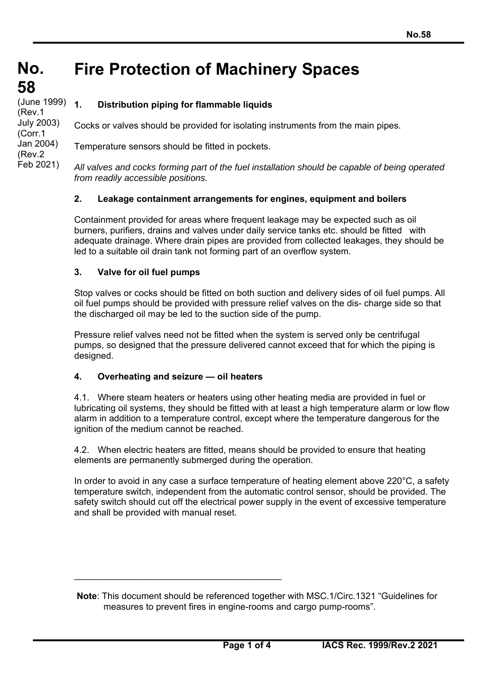#### **No. No. Fire Protection of Machinery Spaces**

**58 58** (June 1999)<br>(**D** (Rev.1 July 2003) (Corr.1 Jan 2004) (Rev.2 Feb 2021)

**1. Distribution piping for flammable liquids**

Cocks or valves should be provided for isolating instruments from the main pipes.

Temperature sensors should be fitted in pockets.

*All valves and cocks forming part of the fuel installation should be capable of being operated from readily accessible positions.* 

# **2. Leakage containment arrangements for engines, equipment and boilers**

Containment provided for areas where frequent leakage may be expected such as oil burners, purifiers, drains and valves under daily service tanks etc. should be fitted with adequate drainage. Where drain pipes are provided from collected leakages, they should be led to a suitable oil drain tank not forming part of an overflow system.

# **3. Valve for oil fuel pumps**

Stop valves or cocks should be fitted on both suction and delivery sides of oil fuel pumps. All oil fuel pumps should be provided with pressure relief valves on the dis- charge side so that the discharged oil may be led to the suction side of the pump.

Pressure relief valves need not be fitted when the system is served only be centrifugal pumps, so designed that the pressure delivered cannot exceed that for which the piping is designed.

## **4. Overheating and seizure — oil heaters**

 $\_$ 

4.1. Where steam heaters or heaters using other heating media are provided in fuel or lubricating oil systems, they should be fitted with at least a high temperature alarm or low flow alarm in addition to a temperature control, except where the temperature dangerous for the ignition of the medium cannot be reached.

4.2. When electric heaters are fitted, means should be provided to ensure that heating elements are permanently submerged during the operation.

In order to avoid in any case a surface temperature of heating element above 220°C, a safety temperature switch, independent from the automatic control sensor, should be provided. The safety switch should cut off the electrical power supply in the event of excessive temperature and shall be provided with manual reset.

**Note**: This document should be referenced together with MSC.1/Circ.1321 "Guidelines for measures to prevent fires in engine-rooms and cargo pump-rooms".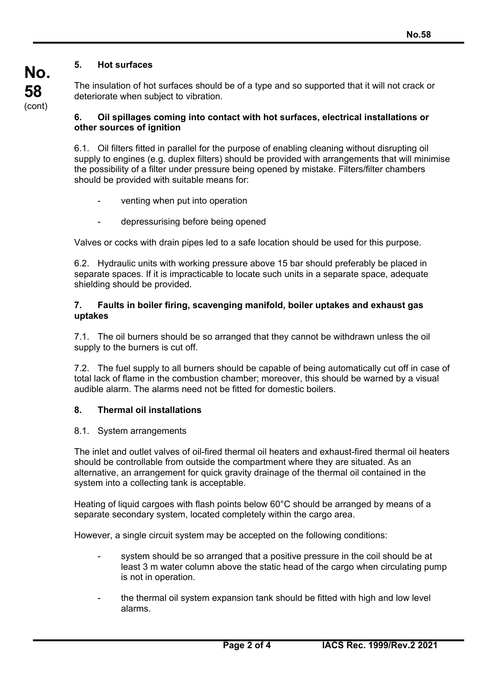## **5. Hot surfaces**

**58**  (cont)

**No.** 

The insulation of hot surfaces should be of a type and so supported that it will not crack or deteriorate when subject to vibration.

### **6. Oil spillages coming into contact with hot surfaces, electrical installations or other sources of ignition**

6.1. Oil filters fitted in parallel for the purpose of enabling cleaning without disrupting oil supply to engines (e.g. duplex filters) should be provided with arrangements that will minimise the possibility of a filter under pressure being opened by mistake. Filters/filter chambers should be provided with suitable means for:

- venting when put into operation
- depressurising before being opened

Valves or cocks with drain pipes led to a safe location should be used for this purpose.

6.2. Hydraulic units with working pressure above 15 bar should preferably be placed in separate spaces. If it is impracticable to locate such units in a separate space, adequate shielding should be provided.

#### **7. Faults in boiler firing, scavenging manifold, boiler uptakes and exhaust gas uptakes**

7.1. The oil burners should be so arranged that they cannot be withdrawn unless the oil supply to the burners is cut off.

7.2. The fuel supply to all burners should be capable of being automatically cut off in case of total lack of flame in the combustion chamber; moreover, this should be warned by a visual audible alarm. The alarms need not be fitted for domestic boilers.

## **8. Thermal oil installations**

### 8.1. System arrangements

The inlet and outlet valves of oil-fired thermal oil heaters and exhaust-fired thermal oil heaters should be controllable from outside the compartment where they are situated. As an alternative, an arrangement for quick gravity drainage of the thermal oil contained in the system into a collecting tank is acceptable.

Heating of liquid cargoes with flash points below 60°C should be arranged by means of a separate secondary system, located completely within the cargo area.

However, a single circuit system may be accepted on the following conditions:

- system should be so arranged that a positive pressure in the coil should be at least 3 m water column above the static head of the cargo when circulating pump is not in operation.
- the thermal oil system expansion tank should be fitted with high and low level alarms.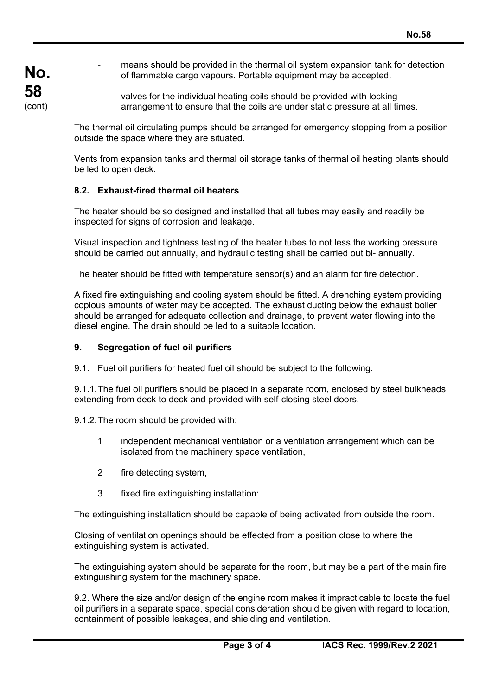- **No. 58**  (cont)
- means should be provided in the thermal oil system expansion tank for detection of flammable cargo vapours. Portable equipment may be accepted.
- valves for the individual heating coils should be provided with locking arrangement to ensure that the coils are under static pressure at all times.

The thermal oil circulating pumps should be arranged for emergency stopping from a position outside the space where they are situated.

Vents from expansion tanks and thermal oil storage tanks of thermal oil heating plants should be led to open deck.

## **8.2. Exhaust-fired thermal oil heaters**

The heater should be so designed and installed that all tubes may easily and readily be inspected for signs of corrosion and leakage.

Visual inspection and tightness testing of the heater tubes to not less the working pressure should be carried out annually, and hydraulic testing shall be carried out bi- annually.

The heater should be fitted with temperature sensor(s) and an alarm for fire detection.

A fixed fire extinguishing and cooling system should be fitted. A drenching system providing copious amounts of water may be accepted. The exhaust ducting below the exhaust boiler should be arranged for adequate collection and drainage, to prevent water flowing into the diesel engine. The drain should be led to a suitable location.

### **9. Segregation of fuel oil purifiers**

9.1. Fuel oil purifiers for heated fuel oil should be subject to the following.

9.1.1. The fuel oil purifiers should be placed in a separate room, enclosed by steel bulkheads extending from deck to deck and provided with self-closing steel doors.

9.1.2. The room should be provided with:

- 1 independent mechanical ventilation or a ventilation arrangement which can be isolated from the machinery space ventilation,
- 2 fire detecting system,
- 3 fixed fire extinguishing installation:

The extinguishing installation should be capable of being activated from outside the room.

Closing of ventilation openings should be effected from a position close to where the extinguishing system is activated.

The extinguishing system should be separate for the room, but may be a part of the main fire extinguishing system for the machinery space.

9.2. Where the size and/or design of the engine room makes it impracticable to locate the fuel oil purifiers in a separate space, special consideration should be given with regard to location, containment of possible leakages, and shielding and ventilation.